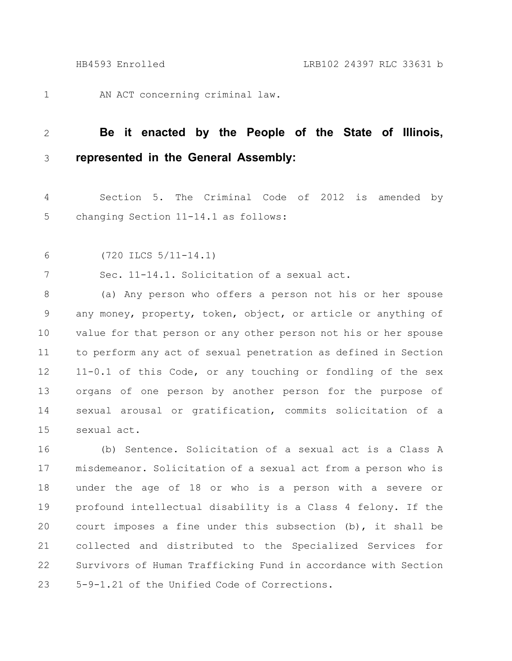AN ACT concerning criminal law. 1

## **Be it enacted by the People of the State of Illinois, represented in the General Assembly:** 2 3

Section 5. The Criminal Code of 2012 is amended by changing Section 11-14.1 as follows: 4 5

(720 ILCS 5/11-14.1) 6

Sec. 11-14.1. Solicitation of a sexual act. 7

(a) Any person who offers a person not his or her spouse any money, property, token, object, or article or anything of value for that person or any other person not his or her spouse to perform any act of sexual penetration as defined in Section 11-0.1 of this Code, or any touching or fondling of the sex organs of one person by another person for the purpose of sexual arousal or gratification, commits solicitation of a sexual act. 8 9 10 11 12 13 14 15

(b) Sentence. Solicitation of a sexual act is a Class A misdemeanor. Solicitation of a sexual act from a person who is under the age of 18 or who is a person with a severe or profound intellectual disability is a Class 4 felony. If the court imposes a fine under this subsection (b), it shall be collected and distributed to the Specialized Services for Survivors of Human Trafficking Fund in accordance with Section 5-9-1.21 of the Unified Code of Corrections. 16 17 18 19 20 21 22 23